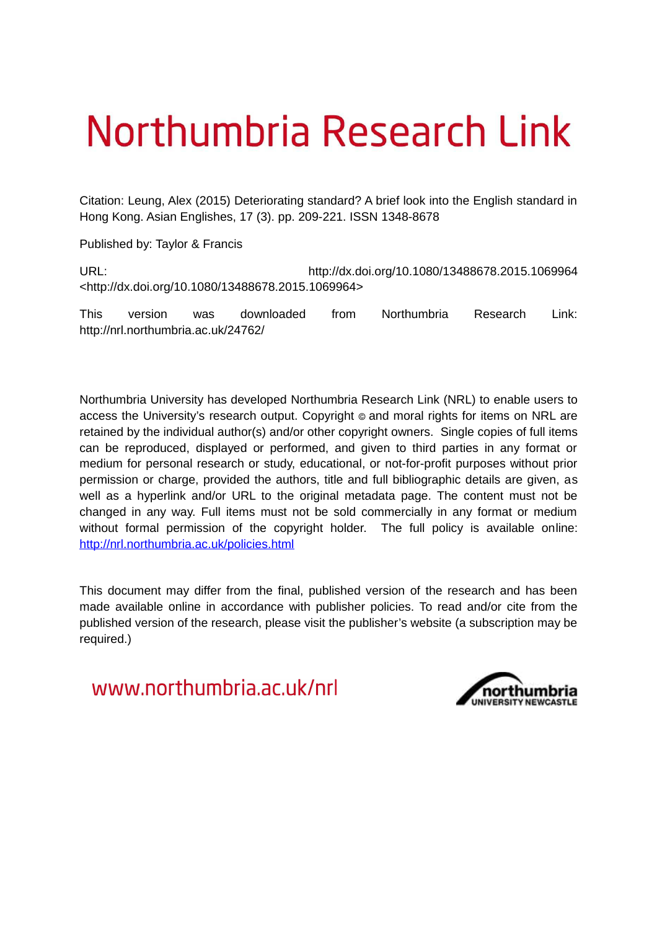# Northumbria Research Link

Citation: Leung, Alex (2015) Deteriorating standard? A brief look into the English standard in Hong Kong. Asian Englishes, 17 (3). pp. 209-221. ISSN 1348-8678

Published by: Taylor & Francis

URL: http://dx.doi.org/10.1080/13488678.2015.1069964 <http://dx.doi.org/10.1080/13488678.2015.1069964>

This version was downloaded from Northumbria Research Link: http://nrl.northumbria.ac.uk/24762/

Northumbria University has developed Northumbria Research Link (NRL) to enable users to access the University's research output. Copyright  $\circ$  and moral rights for items on NRL are retained by the individual author(s) and/or other copyright owners. Single copies of full items can be reproduced, displayed or performed, and given to third parties in any format or medium for personal research or study, educational, or not-for-profit purposes without prior permission or charge, provided the authors, title and full bibliographic details are given, as well as a hyperlink and/or URL to the original metadata page. The content must not be changed in any way. Full items must not be sold commercially in any format or medium without formal permission of the copyright holder. The full policy is available online: <http://nrl.northumbria.ac.uk/policies.html>

This document may differ from the final, published version of the research and has been made available online in accordance with publisher policies. To read and/or cite from the published version of the research, please visit the publisher's website (a subscription may be required.)

www.northumbria.ac.uk/nrl

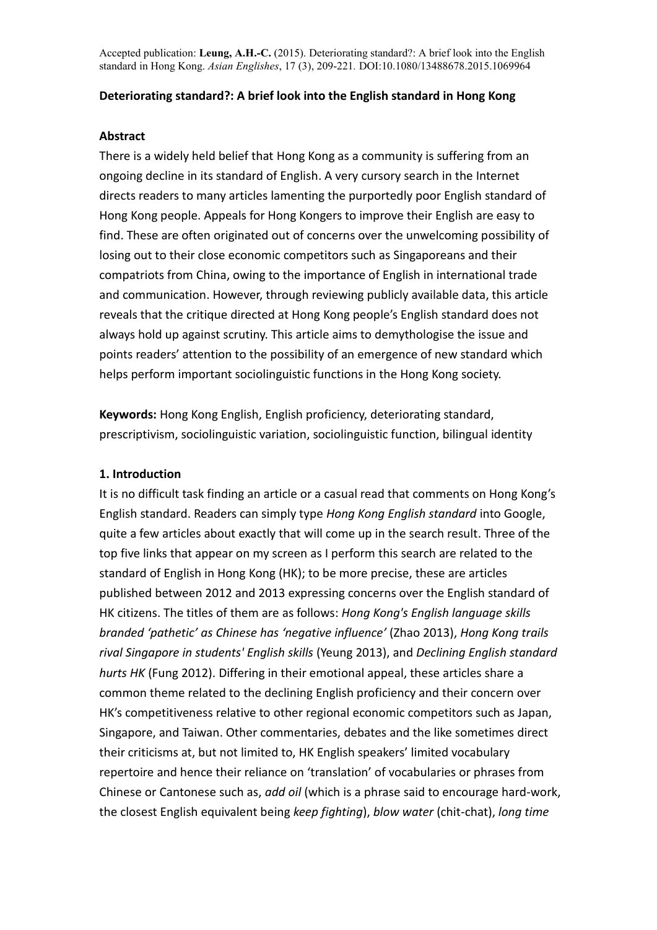#### **Deteriorating standard?: A brief look into the English standard in Hong Kong**

#### **Abstract**

There is a widely held belief that Hong Kong as a community is suffering from an ongoing decline in its standard of English. A very cursory search in the Internet directs readers to many articles lamenting the purportedly poor English standard of Hong Kong people. Appeals for Hong Kongers to improve their English are easy to find. These are often originated out of concerns over the unwelcoming possibility of losing out to their close economic competitors such as Singaporeans and their compatriots from China, owing to the importance of English in international trade and communication. However, through reviewing publicly available data, this article reveals that the critique directed at Hong Kong people's English standard does not always hold up against scrutiny. This article aims to demythologise the issue and points readers' attention to the possibility of an emergence of new standard which helps perform important sociolinguistic functions in the Hong Kong society.

**Keywords:** Hong Kong English, English proficiency, deteriorating standard, prescriptivism, sociolinguistic variation, sociolinguistic function, bilingual identity

#### **1. Introduction**

It is no difficult task finding an article or a casual read that comments on Hong Kong's English standard. Readers can simply type *Hong Kong English standard* into Google, quite a few articles about exactly that will come up in the search result. Three of the top five links that appear on my screen as I perform this search are related to the standard of English in Hong Kong (HK); to be more precise, these are articles published between 2012 and 2013 expressing concerns over the English standard of HK citizens. The titles of them are as follows: *Hong Kong's English language skills branded ͚pathetic͛ as Chinese has ͚negative influence͛* (Zhao 2013), *Hong Kong trails rival Singapore in students' English skills* (Yeung 2013), and *Declining English standard hurts HK* (Fung 2012). Differing in their emotional appeal, these articles share a common theme related to the declining English proficiency and their concern over HK's competitiveness relative to other regional economic competitors such as Japan, Singapore, and Taiwan. Other commentaries, debates and the like sometimes direct their criticisms at, but not limited to, HK English speakers͛ limited vocabulary repertoire and hence their reliance on 'translation' of vocabularies or phrases from Chinese or Cantonese such as, *add oil* (which is a phrase said to encourage hard-work, the closest English equivalent being *keep fighting*), *blow water* (chit-chat), *long time*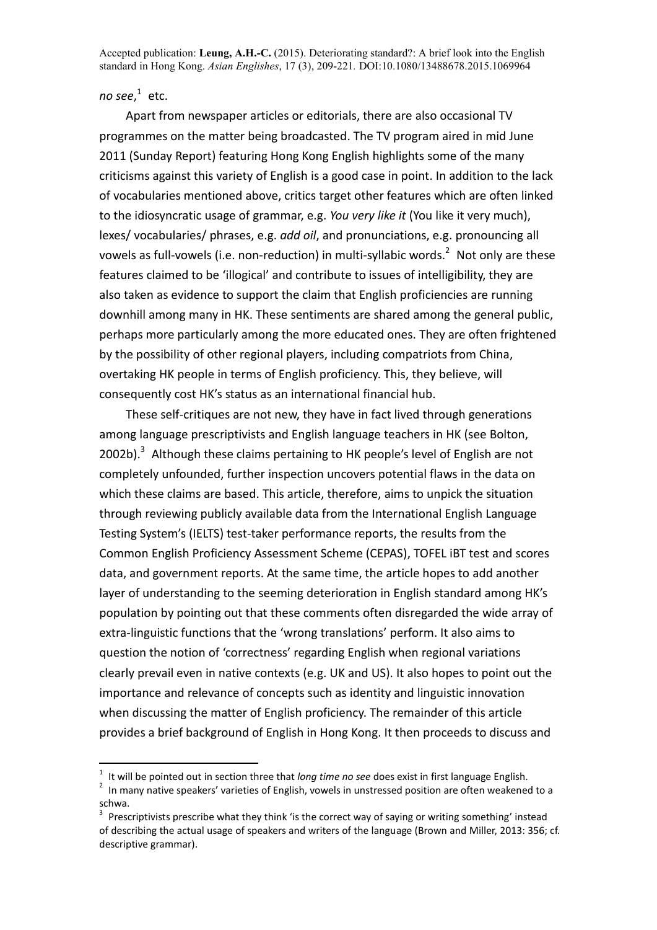*no see*,<sup>1</sup> etc.

.

Apart from newspaper articles or editorials, there are also occasional TV programmes on the matter being broadcasted. The TV program aired in mid June 2011 (Sunday Report) featuring Hong Kong English highlights some of the many criticisms against this variety of English is a good case in point. In addition to the lack of vocabularies mentioned above, critics target other features which are often linked to the idiosyncratic usage of grammar, e.g. *You very like it* (You like it very much), lexes/ vocabularies/ phrases, e.g. *add oil*, and pronunciations, e.g. pronouncing all vowels as full-vowels (i.e. non-reduction) in multi-syllabic words.<sup>2</sup> Not only are these features claimed to be 'illogical' and contribute to issues of intelligibility, they are also taken as evidence to support the claim that English proficiencies are running downhill among many in HK. These sentiments are shared among the general public, perhaps more particularly among the more educated ones. They are often frightened by the possibility of other regional players, including compatriots from China, overtaking HK people in terms of English proficiency. This, they believe, will consequently cost HK's status as an international financial hub.

These self-critiques are not new, they have in fact lived through generations among language prescriptivists and English language teachers in HK (see Bolton,  $2002b$ ).<sup>3</sup> Although these claims pertaining to HK people's level of English are not completely unfounded, further inspection uncovers potential flaws in the data on which these claims are based. This article, therefore, aims to unpick the situation through reviewing publicly available data from the International English Language Testing System's (IELTS) test-taker performance reports, the results from the Common English Proficiency Assessment Scheme (CEPAS), TOFEL iBT test and scores data, and government reports. At the same time, the article hopes to add another layer of understanding to the seeming deterioration in English standard among HK's population by pointing out that these comments often disregarded the wide array of extra-linguistic functions that the 'wrong translations' perform. It also aims to question the notion of 'correctness' regarding English when regional variations clearly prevail even in native contexts (e.g. UK and US). It also hopes to point out the importance and relevance of concepts such as identity and linguistic innovation when discussing the matter of English proficiency. The remainder of this article provides a brief background of English in Hong Kong. It then proceeds to discuss and

<sup>&</sup>lt;sup>1</sup> It will be pointed out in section three that *long time no see* does exist in first language English.

 $2$  In many native speakers' varieties of English, vowels in unstressed position are often weakened to a schwa.

<sup>3</sup> Prescriptivists prescribe what they think 'is the correct way of saying or writing something' instead of describing the actual usage of speakers and writers of the language (Brown and Miller, 2013: 356; cf. descriptive grammar).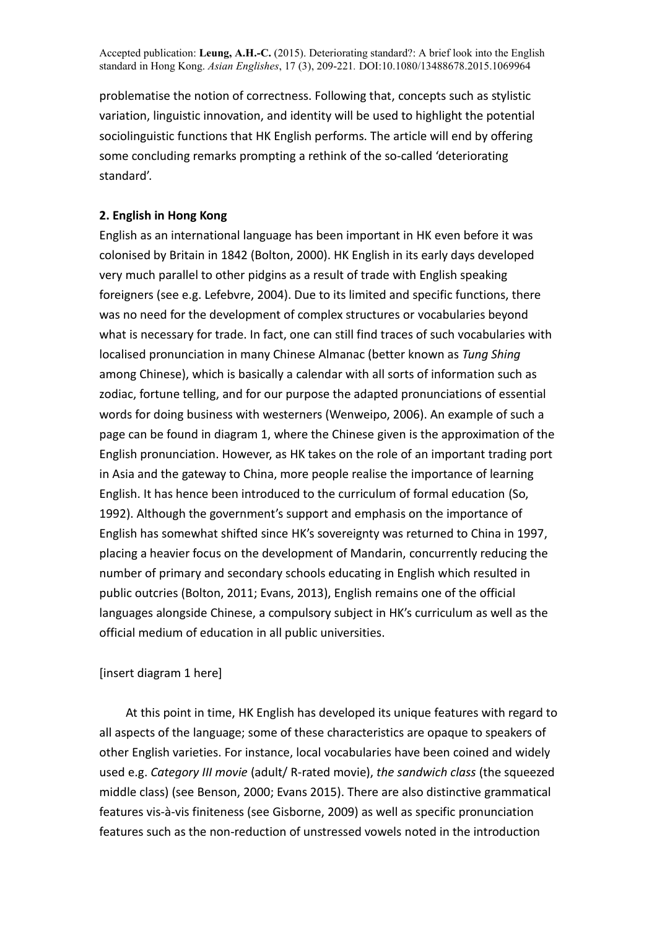problematise the notion of correctness. Following that, concepts such as stylistic variation, linguistic innovation, and identity will be used to highlight the potential sociolinguistic functions that HK English performs. The article will end by offering some concluding remarks prompting a rethink of the so-called 'deteriorating standard'.

## **2. English in Hong Kong**

English as an international language has been important in HK even before it was colonised by Britain in 1842 (Bolton, 2000). HK English in its early days developed very much parallel to other pidgins as a result of trade with English speaking foreigners (see e.g. Lefebvre, 2004). Due to its limited and specific functions, there was no need for the development of complex structures or vocabularies beyond what is necessary for trade. In fact, one can still find traces of such vocabularies with localised pronunciation in many Chinese Almanac (better known as *Tung Shing* among Chinese), which is basically a calendar with all sorts of information such as zodiac, fortune telling, and for our purpose the adapted pronunciations of essential words for doing business with westerners (Wenweipo, 2006). An example of such a page can be found in diagram 1, where the Chinese given is the approximation of the English pronunciation. However, as HK takes on the role of an important trading port in Asia and the gateway to China, more people realise the importance of learning English. It has hence been introduced to the curriculum of formal education (So, 1992). Although the government's support and emphasis on the importance of English has somewhat shifted since HK's sovereignty was returned to China in 1997, placing a heavier focus on the development of Mandarin, concurrently reducing the number of primary and secondary schools educating in English which resulted in public outcries (Bolton, 2011; Evans, 2013), English remains one of the official languages alongside Chinese, a compulsory subject in HK's curriculum as well as the official medium of education in all public universities.

# [insert diagram 1 here]

At this point in time, HK English has developed its unique features with regard to all aspects of the language; some of these characteristics are opaque to speakers of other English varieties. For instance, local vocabularies have been coined and widely used e.g. *Category III movie* (adult/ R-rated movie), *the sandwich class* (the squeezed middle class) (see Benson, 2000; Evans 2015). There are also distinctive grammatical features vis-à-vis finiteness (see Gisborne, 2009) as well as specific pronunciation features such as the non-reduction of unstressed vowels noted in the introduction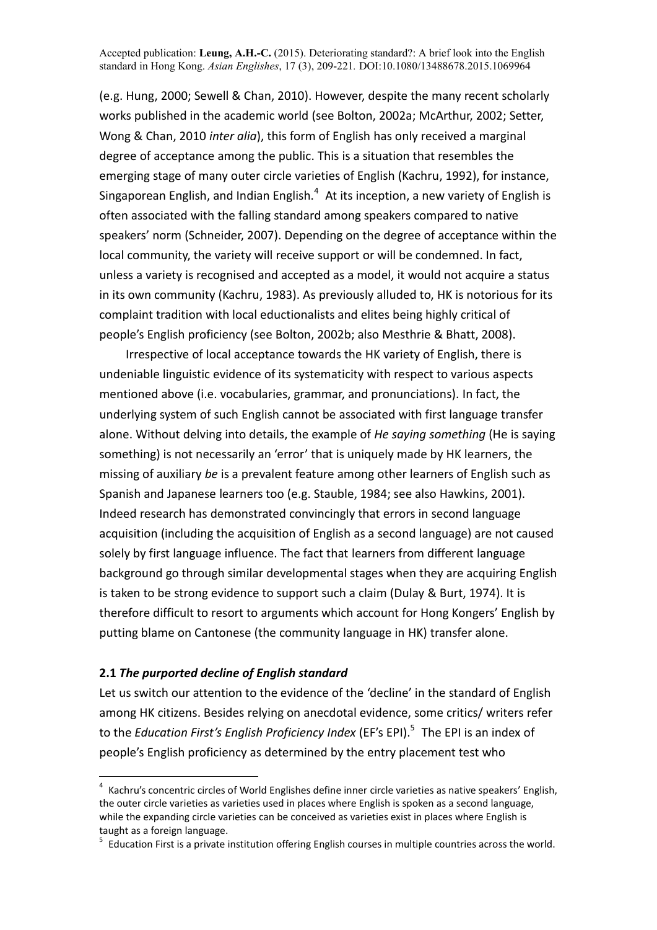(e.g. Hung, 2000; Sewell & Chan, 2010). However, despite the many recent scholarly works published in the academic world (see Bolton, 2002a; McArthur, 2002; Setter, Wong & Chan, 2010 *inter alia*), this form of English has only received a marginal degree of acceptance among the public. This is a situation that resembles the emerging stage of many outer circle varieties of English (Kachru, 1992), for instance, Singaporean English, and Indian English. $<sup>4</sup>$  At its inception, a new variety of English is</sup> often associated with the falling standard among speakers compared to native speakers' norm (Schneider, 2007). Depending on the degree of acceptance within the local community, the variety will receive support or will be condemned. In fact, unless a variety is recognised and accepted as a model, it would not acquire a status in its own community (Kachru, 1983). As previously alluded to, HK is notorious for its complaint tradition with local eductionalists and elites being highly critical of people's English proficiency (see Bolton, 2002b; also Mesthrie & Bhatt, 2008).

Irrespective of local acceptance towards the HK variety of English, there is undeniable linguistic evidence of its systematicity with respect to various aspects mentioned above (i.e. vocabularies, grammar, and pronunciations). In fact, the underlying system of such English cannot be associated with first language transfer alone. Without delving into details, the example of *He saying something* (He is saying something) is not necessarily an 'error' that is uniquely made by HK learners, the missing of auxiliary *be* is a prevalent feature among other learners of English such as Spanish and Japanese learners too (e.g. Stauble, 1984; see also Hawkins, 2001). Indeed research has demonstrated convincingly that errors in second language acquisition (including the acquisition of English as a second language) are not caused solely by first language influence. The fact that learners from different language background go through similar developmental stages when they are acquiring English is taken to be strong evidence to support such a claim (Dulay & Burt, 1974). It is therefore difficult to resort to arguments which account for Hong Kongers' English by putting blame on Cantonese (the community language in HK) transfer alone.

#### **2.1** *The purported decline of English standard*

-

Let us switch our attention to the evidence of the 'decline' in the standard of English among HK citizens. Besides relying on anecdotal evidence, some critics/ writers refer to the *Education First's English Proficiency Index* (EF's EPI).<sup>5</sup> The EPI is an index of people's English proficiency as determined by the entry placement test who

<sup>&</sup>lt;sup>4</sup> Kachru's concentric circles of World Englishes define inner circle varieties as native speakers' English, the outer circle varieties as varieties used in places where English is spoken as a second language, while the expanding circle varieties can be conceived as varieties exist in places where English is taught as a foreign language.

<sup>&</sup>lt;sup>5</sup> Education First is a private institution offering English courses in multiple countries across the world.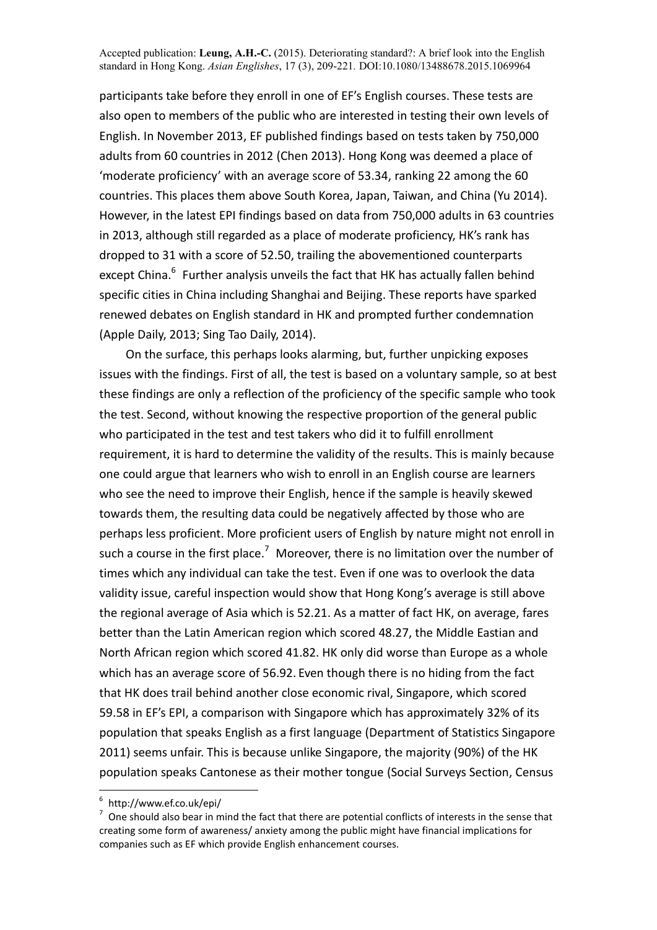participants take before they enroll in one of EF's English courses. These tests are also open to members of the public who are interested in testing their own levels of English. In November 2013, EF published findings based on tests taken by 750,000 adults from 60 countries in 2012 (Chen 2013). Hong Kong was deemed a place of ͚moderate proficiency͛ with an average score of 53.34, ranking 22 among the 60 countries. This places them above South Korea, Japan, Taiwan, and China (Yu 2014). However, in the latest EPI findings based on data from 750,000 adults in 63 countries in 2013, although still regarded as a place of moderate proficiency, HK's rank has dropped to 31 with a score of 52.50, trailing the abovementioned counterparts except China.<sup>6</sup> Further analysis unveils the fact that HK has actually fallen behind specific cities in China including Shanghai and Beijing. These reports have sparked renewed debates on English standard in HK and prompted further condemnation (Apple Daily, 2013; Sing Tao Daily, 2014).

On the surface, this perhaps looks alarming, but, further unpicking exposes issues with the findings. First of all, the test is based on a voluntary sample, so at best these findings are only a reflection of the proficiency of the specific sample who took the test. Second, without knowing the respective proportion of the general public who participated in the test and test takers who did it to fulfill enrollment requirement, it is hard to determine the validity of the results. This is mainly because one could argue that learners who wish to enroll in an English course are learners who see the need to improve their English, hence if the sample is heavily skewed towards them, the resulting data could be negatively affected by those who are perhaps less proficient. More proficient users of English by nature might not enroll in such a course in the first place.<sup>7</sup> Moreover, there is no limitation over the number of times which any individual can take the test. Even if one was to overlook the data validity issue, careful inspection would show that Hong Kong's average is still above the regional average of Asia which is 52.21. As a matter of fact HK, on average, fares better than the Latin American region which scored 48.27, the Middle Eastian and North African region which scored 41.82. HK only did worse than Europe as a whole which has an average score of 56.92. Even though there is no hiding from the fact that HK does trail behind another close economic rival, Singapore, which scored 59.58 in EF's EPI, a comparison with Singapore which has approximately 32% of its population that speaks English as a first language (Department of Statistics Singapore 2011) seems unfair. This is because unlike Singapore, the majority (90%) of the HK population speaks Cantonese as their mother tongue (Social Surveys Section, Census

<sup>6</sup> http://www.ef.co.uk/epi/

 $<sup>7</sup>$  One should also bear in mind the fact that there are potential conflicts of interests in the sense that</sup> creating some form of awareness/ anxiety among the public might have financial implications for companies such as EF which provide English enhancement courses.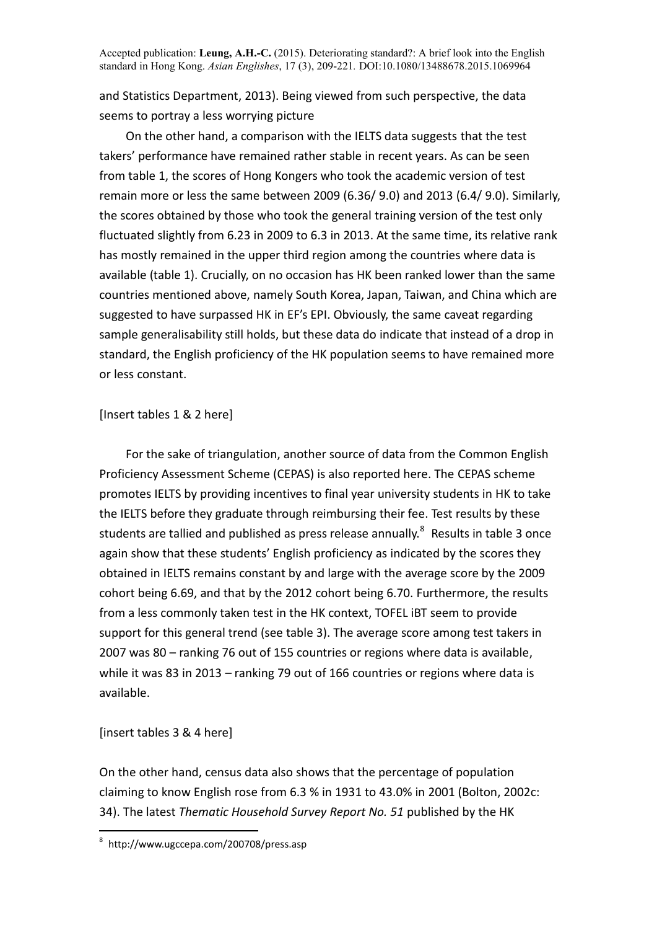and Statistics Department, 2013). Being viewed from such perspective, the data seems to portray a less worrying picture

On the other hand, a comparison with the IELTS data suggests that the test takers' performance have remained rather stable in recent years. As can be seen from table 1, the scores of Hong Kongers who took the academic version of test remain more or less the same between 2009 (6.36/ 9.0) and 2013 (6.4/ 9.0). Similarly, the scores obtained by those who took the general training version of the test only fluctuated slightly from 6.23 in 2009 to 6.3 in 2013. At the same time, its relative rank has mostly remained in the upper third region among the countries where data is available (table 1). Crucially, on no occasion has HK been ranked lower than the same countries mentioned above, namely South Korea, Japan, Taiwan, and China which are suggested to have surpassed HK in EF's EPI. Obviously, the same caveat regarding sample generalisability still holds, but these data do indicate that instead of a drop in standard, the English proficiency of the HK population seems to have remained more or less constant.

#### [Insert tables 1 & 2 here]

For the sake of triangulation, another source of data from the Common English Proficiency Assessment Scheme (CEPAS) is also reported here. The CEPAS scheme promotes IELTS by providing incentives to final year university students in HK to take the IELTS before they graduate through reimbursing their fee. Test results by these students are tallied and published as press release annually.<sup>8</sup> Results in table 3 once again show that these students' English proficiency as indicated by the scores they obtained in IELTS remains constant by and large with the average score by the 2009 cohort being 6.69, and that by the 2012 cohort being 6.70. Furthermore, the results from a less commonly taken test in the HK context, TOFEL iBT seem to provide support for this general trend (see table 3). The average score among test takers in 2007 was 80 – ranking 76 out of 155 countries or regions where data is available, while it was 83 in 2013 – ranking 79 out of 166 countries or regions where data is available.

#### [insert tables 3 & 4 here]

.

On the other hand, census data also shows that the percentage of population claiming to know English rose from 6.3 % in 1931 to 43.0% in 2001 (Bolton, 2002c: 34). The latest *Thematic Household Survey Report No. 51* published by the HK

<sup>8</sup> http://www.ugccepa.com/200708/press.asp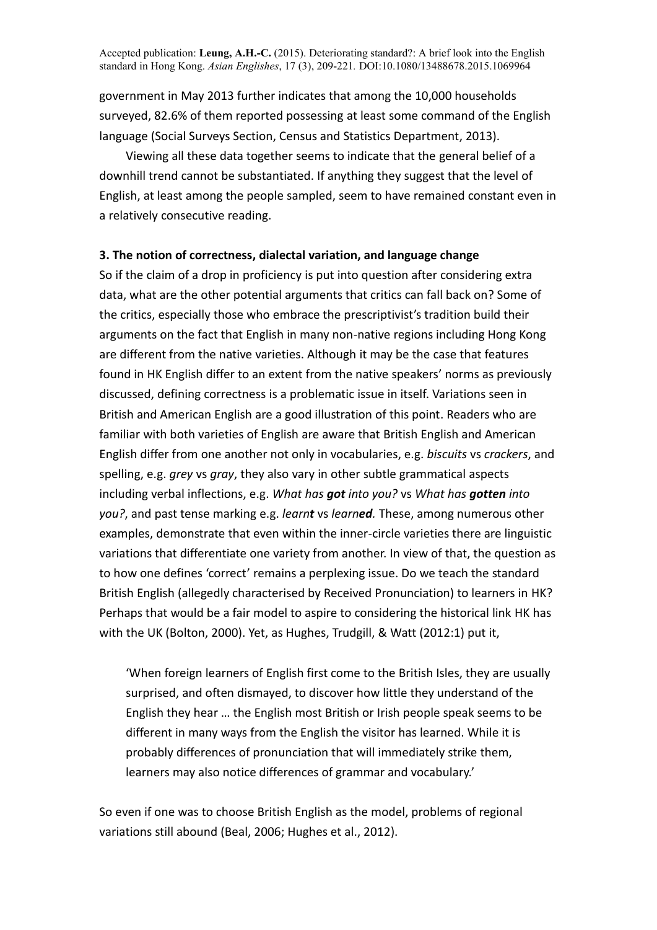government in May 2013 further indicates that among the 10,000 households surveyed, 82.6% of them reported possessing at least some command of the English language (Social Surveys Section, Census and Statistics Department, 2013).

Viewing all these data together seems to indicate that the general belief of a downhill trend cannot be substantiated. If anything they suggest that the level of English, at least among the people sampled, seem to have remained constant even in a relatively consecutive reading.

#### **3. The notion of correctness, dialectal variation, and language change**

So if the claim of a drop in proficiency is put into question after considering extra data, what are the other potential arguments that critics can fall back on? Some of the critics, especially those who embrace the prescriptivist's tradition build their arguments on the fact that English in many non-native regions including Hong Kong are different from the native varieties. Although it may be the case that features found in HK English differ to an extent from the native speakers' norms as previously discussed, defining correctness is a problematic issue in itself. Variations seen in British and American English are a good illustration of this point. Readers who are familiar with both varieties of English are aware that British English and American English differ from one another not only in vocabularies, e.g. *biscuits* vs *crackers*, and spelling, e.g. *grey* vs *gray*, they also vary in other subtle grammatical aspects including verbal inflections, e.g. *What has got into you?* vs *What has gotten into you?*, and past tense marking e.g. *learnt* vs *learned.* These, among numerous other examples, demonstrate that even within the inner-circle varieties there are linguistic variations that differentiate one variety from another. In view of that, the question as to how one defines 'correct' remains a perplexing issue. Do we teach the standard British English (allegedly characterised by Received Pronunciation) to learners in HK? Perhaps that would be a fair model to aspire to considering the historical link HK has with the UK (Bolton, 2000). Yet, as Hughes, Trudgill, & Watt (2012:1) put it,

͚When foreign learners of English first come to the British Isles, they are usually surprised, and often dismayed, to discover how little they understand of the English they hear ... the English most British or Irish people speak seems to be different in many ways from the English the visitor has learned. While it is probably differences of pronunciation that will immediately strike them, learners may also notice differences of grammar and vocabulary.'

So even if one was to choose British English as the model, problems of regional variations still abound (Beal, 2006; Hughes et al., 2012).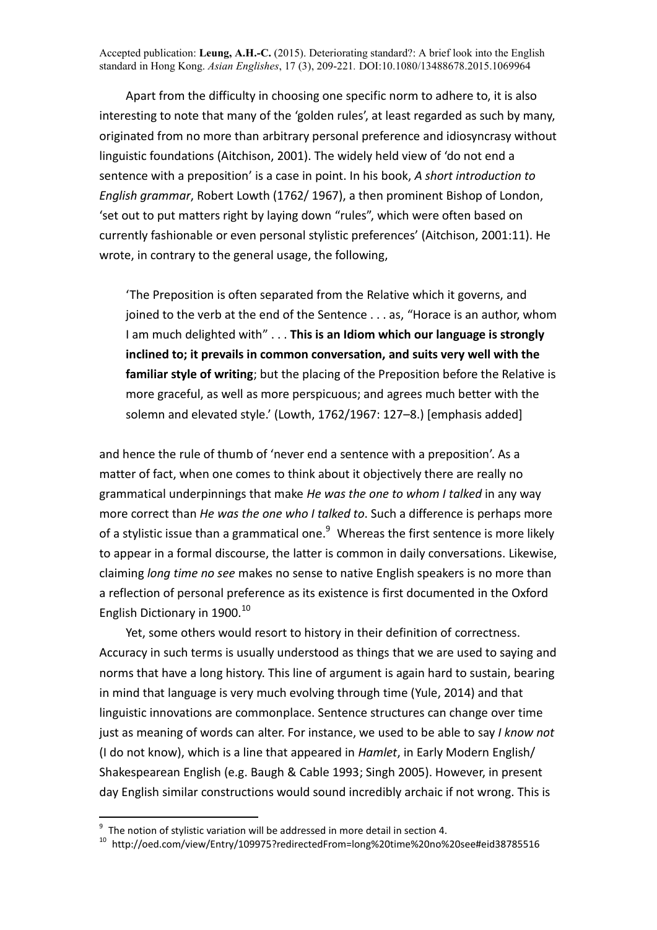Apart from the difficulty in choosing one specific norm to adhere to, it is also interesting to note that many of the 'golden rules', at least regarded as such by many, originated from no more than arbitrary personal preference and idiosyncrasy without linguistic foundations (Aitchison, 2001). The widely held view of 'do not end a sentence with a preposition' is a case in point. In his book, A short introduction to *English grammar*, Robert Lowth (1762/ 1967), a then prominent Bishop of London, 'set out to put matters right by laying down "rules", which were often based on currently fashionable or even personal stylistic preferences' (Aitchison, 2001:11). He wrote, in contrary to the general usage, the following,

͚The Preposition is often separated from the Relative which it governs, and joined to the verb at the end of the Sentence . . . as, "Horace is an author, whom I am much delighted with<sup>"</sup> . . . This is an Idiom which our language is strongly **inclined to; it prevails in common conversation, and suits very well with the familiar style of writing**; but the placing of the Preposition before the Relative is more graceful, as well as more perspicuous; and agrees much better with the solemn and elevated style.' (Lowth, 1762/1967: 127-8.) [emphasis added]

and hence the rule of thumb of 'never end a sentence with a preposition'. As a matter of fact, when one comes to think about it objectively there are really no grammatical underpinnings that make *He was the one to whom I talked* in any way more correct than *He was the one who I talked to*. Such a difference is perhaps more of a stylistic issue than a grammatical one. $9$  Whereas the first sentence is more likely to appear in a formal discourse, the latter is common in daily conversations. Likewise, claiming *long time no see* makes no sense to native English speakers is no more than a reflection of personal preference as its existence is first documented in the Oxford English Dictionary in 1900.<sup>10</sup>

Yet, some others would resort to history in their definition of correctness. Accuracy in such terms is usually understood as things that we are used to saying and norms that have a long history. This line of argument is again hard to sustain, bearing in mind that language is very much evolving through time (Yule, 2014) and that linguistic innovations are commonplace. Sentence structures can change over time just as meaning of words can alter. For instance, we used to be able to say *I know not*  (I do not know), which is a line that appeared in *Hamlet*, in Early Modern English/ Shakespearean English (e.g. Baugh & Cable 1993; Singh 2005). However, in present day English similar constructions would sound incredibly archaic if not wrong. This is

 $9$  The notion of stylistic variation will be addressed in more detail in section 4.

<sup>10</sup> http://oed.com/view/Entry/109975?redirectedFrom=long%20time%20no%20see#eid38785516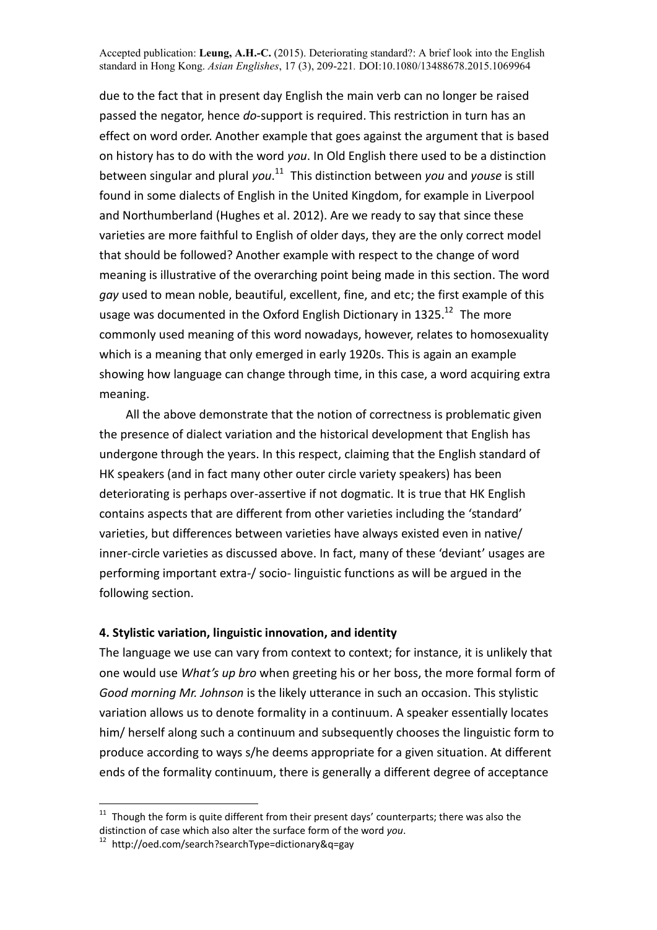due to the fact that in present day English the main verb can no longer be raised passed the negator, hence *do-*support is required. This restriction in turn has an effect on word order. Another example that goes against the argument that is based on history has to do with the word *you*. In Old English there used to be a distinction between singular and plural *you*. <sup>11</sup> This distinction between *you* and *youse* is still found in some dialects of English in the United Kingdom, for example in Liverpool and Northumberland (Hughes et al. 2012). Are we ready to say that since these varieties are more faithful to English of older days, they are the only correct model that should be followed? Another example with respect to the change of word meaning is illustrative of the overarching point being made in this section. The word *gay* used to mean noble, beautiful, excellent, fine, and etc; the first example of this usage was documented in the Oxford English Dictionary in 1325.<sup>12</sup> The more commonly used meaning of this word nowadays, however, relates to homosexuality which is a meaning that only emerged in early 1920s. This is again an example showing how language can change through time, in this case, a word acquiring extra meaning.

All the above demonstrate that the notion of correctness is problematic given the presence of dialect variation and the historical development that English has undergone through the years. In this respect, claiming that the English standard of HK speakers (and in fact many other outer circle variety speakers) has been deteriorating is perhaps over-assertive if not dogmatic. It is true that HK English contains aspects that are different from other varieties including the 'standard' varieties, but differences between varieties have always existed even in native/ inner-circle varieties as discussed above. In fact, many of these 'deviant' usages are performing important extra-/ socio- linguistic functions as will be argued in the following section.

#### **4. Stylistic variation, linguistic innovation, and identity**

The language we use can vary from context to context; for instance, it is unlikely that one would use *What͛s up bro* when greeting his or her boss, the more formal form of *Good morning Mr. Johnson* is the likely utterance in such an occasion. This stylistic variation allows us to denote formality in a continuum. A speaker essentially locates him/ herself along such a continuum and subsequently chooses the linguistic form to produce according to ways s/he deems appropriate for a given situation. At different ends of the formality continuum, there is generally a different degree of acceptance

 $11$  Though the form is quite different from their present days' counterparts; there was also the distinction of case which also alter the surface form of the word *you*.

<sup>12</sup> http://oed.com/search?searchType=dictionary&q=gay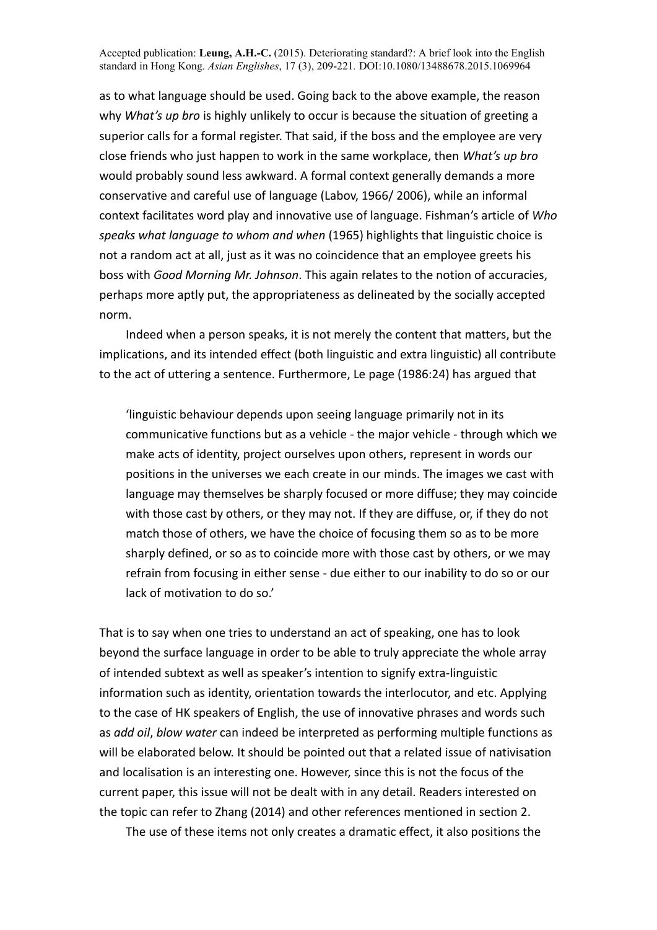as to what language should be used. Going back to the above example, the reason why *What's up bro* is highly unlikely to occur is because the situation of greeting a superior calls for a formal register. That said, if the boss and the employee are very close friends who just happen to work in the same workplace, then *What͛s up bro*  would probably sound less awkward. A formal context generally demands a more conservative and careful use of language (Labov, 1966/ 2006), while an informal context facilitates word play and innovative use of language. Fishman͛s article of *Who speaks what language to whom and when* (1965) highlights that linguistic choice is not a random act at all, just as it was no coincidence that an employee greets his boss with *Good Morning Mr. Johnson*. This again relates to the notion of accuracies, perhaps more aptly put, the appropriateness as delineated by the socially accepted norm.

Indeed when a person speaks, it is not merely the content that matters, but the implications, and its intended effect (both linguistic and extra linguistic) all contribute to the act of uttering a sentence. Furthermore, Le page (1986:24) has argued that

linguistic behaviour depends upon seeing language primarily not in its communicative functions but as a vehicle - the major vehicle - through which we make acts of identity, project ourselves upon others, represent in words our positions in the universes we each create in our minds. The images we cast with language may themselves be sharply focused or more diffuse; they may coincide with those cast by others, or they may not. If they are diffuse, or, if they do not match those of others, we have the choice of focusing them so as to be more sharply defined, or so as to coincide more with those cast by others, or we may refrain from focusing in either sense - due either to our inability to do so or our lack of motivation to do so.

That is to say when one tries to understand an act of speaking, one has to look beyond the surface language in order to be able to truly appreciate the whole array of intended subtext as well as speaker's intention to signify extra-linguistic information such as identity, orientation towards the interlocutor, and etc. Applying to the case of HK speakers of English, the use of innovative phrases and words such as *add oil*, *blow water* can indeed be interpreted as performing multiple functions as will be elaborated below. It should be pointed out that a related issue of nativisation and localisation is an interesting one. However, since this is not the focus of the current paper, this issue will not be dealt with in any detail. Readers interested on the topic can refer to Zhang (2014) and other references mentioned in section 2.

The use of these items not only creates a dramatic effect, it also positions the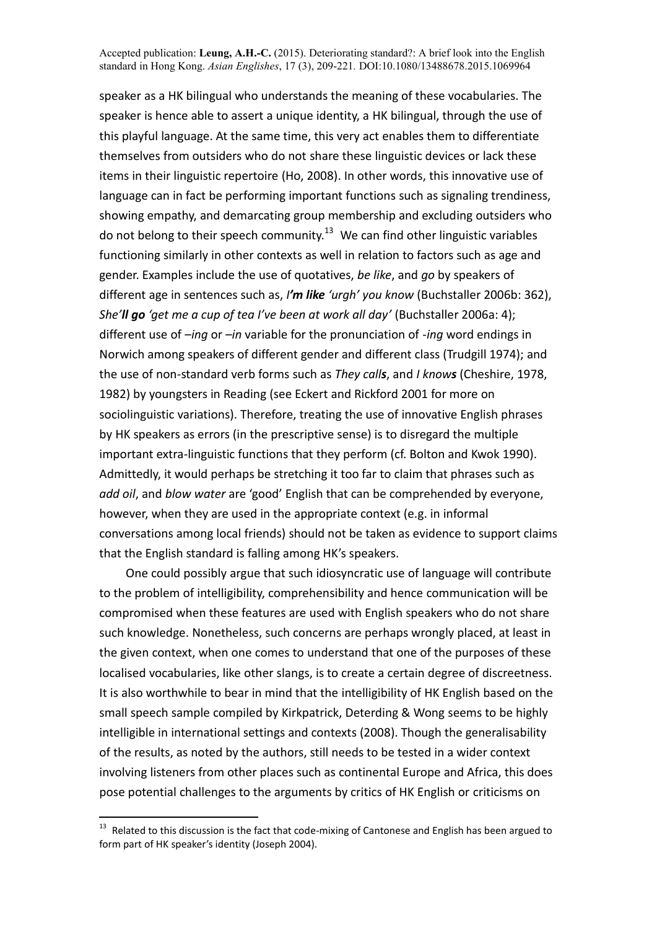speaker as a HK bilingual who understands the meaning of these vocabularies. The speaker is hence able to assert a unique identity, a HK bilingual, through the use of this playful language. At the same time, this very act enables them to differentiate themselves from outsiders who do not share these linguistic devices or lack these items in their linguistic repertoire (Ho, 2008). In other words, this innovative use of language can in fact be performing important functions such as signaling trendiness, showing empathy, and demarcating group membership and excluding outsiders who do not belong to their speech community.<sup>13</sup> We can find other linguistic variables functioning similarly in other contexts as well in relation to factors such as age and gender. Examples include the use of quotatives, *be like*, and *go* by speakers of different age in sentences such as, *I'm like 'urgh' you know* (Buchstaller 2006b: 362), *She'll go 'get me a cup of tea I've been at work all day'* (Buchstaller 2006a: 4); different use of –*ing* or –*in* variable for the pronunciation of -*ing* word endings in Norwich among speakers of different gender and different class (Trudgill 1974); and the use of non-standard verb forms such as *They calls*, and *I knows* (Cheshire, 1978, 1982) by youngsters in Reading (see Eckert and Rickford 2001 for more on sociolinguistic variations). Therefore, treating the use of innovative English phrases by HK speakers as errors (in the prescriptive sense) is to disregard the multiple important extra-linguistic functions that they perform (cf. Bolton and Kwok 1990). Admittedly, it would perhaps be stretching it too far to claim that phrases such as *add oil*, and *blow water* are 'good' English that can be comprehended by everyone, however, when they are used in the appropriate context (e.g. in informal conversations among local friends) should not be taken as evidence to support claims that the English standard is falling among HK's speakers.

One could possibly argue that such idiosyncratic use of language will contribute to the problem of intelligibility, comprehensibility and hence communication will be compromised when these features are used with English speakers who do not share such knowledge. Nonetheless, such concerns are perhaps wrongly placed, at least in the given context, when one comes to understand that one of the purposes of these localised vocabularies, like other slangs, is to create a certain degree of discreetness. It is also worthwhile to bear in mind that the intelligibility of HK English based on the small speech sample compiled by Kirkpatrick, Deterding & Wong seems to be highly intelligible in international settings and contexts (2008). Though the generalisability of the results, as noted by the authors, still needs to be tested in a wider context involving listeners from other places such as continental Europe and Africa, this does pose potential challenges to the arguments by critics of HK English or criticisms on

<sup>&</sup>lt;sup>13</sup> Related to this discussion is the fact that code-mixing of Cantonese and English has been argued to form part of HK speaker's identity (Joseph 2004).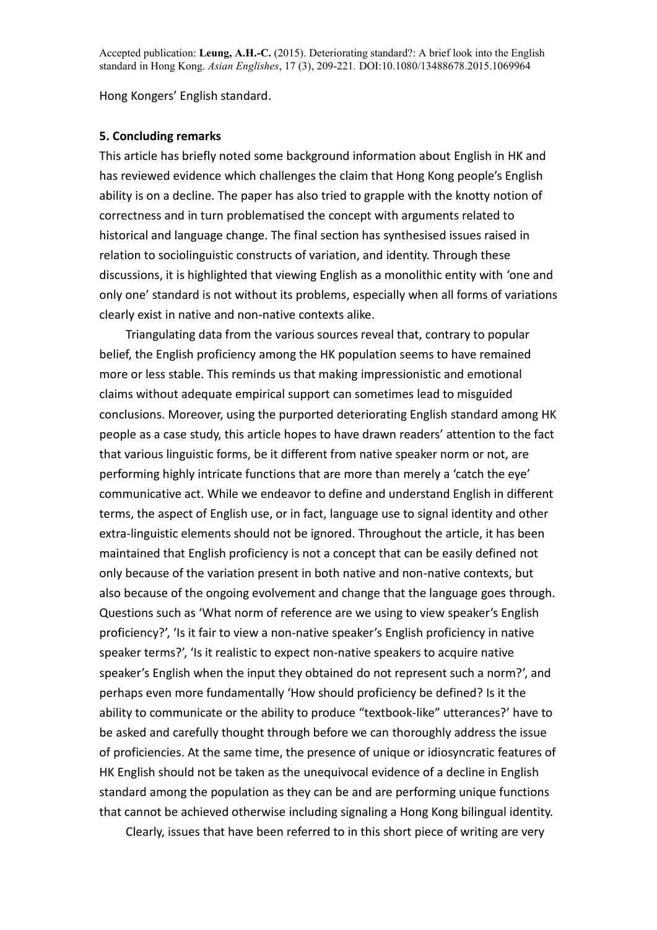Hong Kongers' English standard.

#### **5. Concluding remarks**

This article has briefly noted some background information about English in HK and has reviewed evidence which challenges the claim that Hong Kong people's English ability is on a decline. The paper has also tried to grapple with the knotty notion of correctness and in turn problematised the concept with arguments related to historical and language change. The final section has synthesised issues raised in relation to sociolinguistic constructs of variation, and identity. Through these discussions, it is highlighted that viewing English as a monolithic entity with 'one and only one' standard is not without its problems, especially when all forms of variations clearly exist in native and non-native contexts alike.

Triangulating data from the various sources reveal that, contrary to popular belief, the English proficiency among the HK population seems to have remained more or less stable. This reminds us that making impressionistic and emotional claims without adequate empirical support can sometimes lead to misguided conclusions. Moreover, using the purported deteriorating English standard among HK people as a case study, this article hopes to have drawn readers' attention to the fact that various linguistic forms, be it different from native speaker norm or not, are performing highly intricate functions that are more than merely a 'catch the eye' communicative act. While we endeavor to define and understand English in different terms, the aspect of English use, or in fact, language use to signal identity and other extra-linguistic elements should not be ignored. Throughout the article, it has been maintained that English proficiency is not a concept that can be easily defined not only because of the variation present in both native and non-native contexts, but also because of the ongoing evolvement and change that the language goes through. Questions such as 'What norm of reference are we using to view speaker's English proficiency?', 'Is it fair to view a non-native speaker's English proficiency in native speaker terms?', 'Is it realistic to expect non-native speakers to acquire native speaker's English when the input they obtained do not represent such a norm?', and perhaps even more fundamentally 'How should proficiency be defined? Is it the ability to communicate or the ability to produce "textbook-like" utterances?' have to be asked and carefully thought through before we can thoroughly address the issue of proficiencies. At the same time, the presence of unique or idiosyncratic features of HK English should not be taken as the unequivocal evidence of a decline in English standard among the population as they can be and are performing unique functions that cannot be achieved otherwise including signaling a Hong Kong bilingual identity.

Clearly, issues that have been referred to in this short piece of writing are very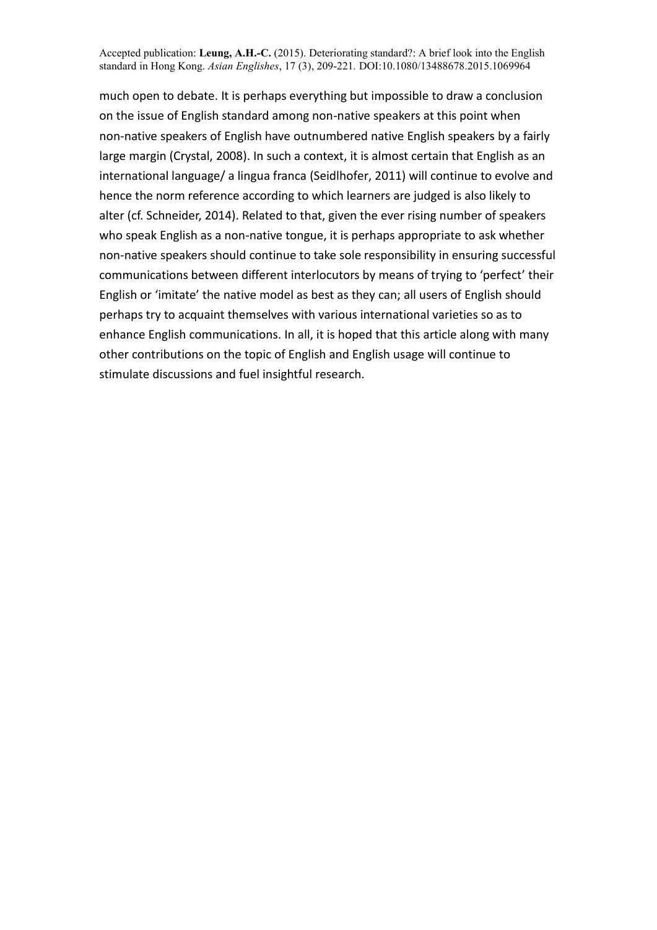much open to debate. It is perhaps everything but impossible to draw a conclusion on the issue of English standard among non-native speakers at this point when non-native speakers of English have outnumbered native English speakers by a fairly large margin (Crystal, 2008). In such a context, it is almost certain that English as an international language/ a lingua franca (Seidlhofer, 2011) will continue to evolve and hence the norm reference according to which learners are judged is also likely to alter (cf. Schneider, 2014). Related to that, given the ever rising number of speakers who speak English as a non-native tongue, it is perhaps appropriate to ask whether non-native speakers should continue to take sole responsibility in ensuring successful communications between different interlocutors by means of trying to 'perfect' their English or 'imitate' the native model as best as they can; all users of English should perhaps try to acquaint themselves with various international varieties so as to enhance English communications. In all, it is hoped that this article along with many other contributions on the topic of English and English usage will continue to stimulate discussions and fuel insightful research.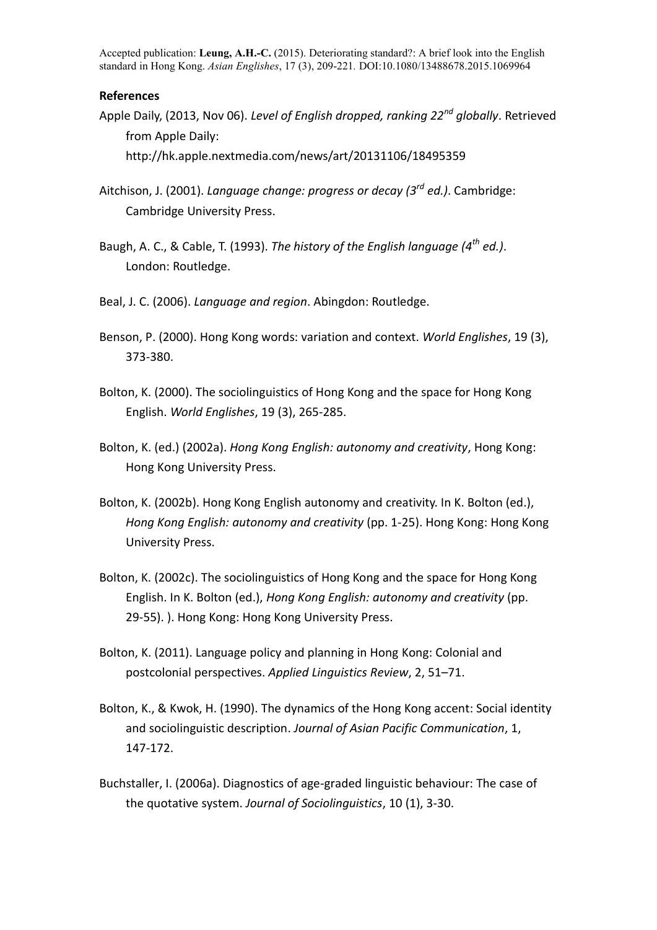#### **References**

- Apple Daily, (2013, Nov 06). *Level of English dropped, ranking 22nd globally*. Retrieved from Apple Daily: http://hk.apple.nextmedia.com/news/art/20131106/18495359
- Aitchison, J. (2001). *Language change: progress or decay (3rd ed.)*. Cambridge: Cambridge University Press.
- Baugh, A. C., & Cable, T. (1993). *The history of the English language (4th ed.)*. London: Routledge.
- Beal, J. C. (2006). *Language and region*. Abingdon: Routledge.
- Benson, P. (2000). Hong Kong words: variation and context. *World Englishes*, 19 (3), 373-380.
- Bolton, K. (2000). The sociolinguistics of Hong Kong and the space for Hong Kong English. *World Englishes*, 19 (3), 265-285.
- Bolton, K. (ed.) (2002a). *Hong Kong English: autonomy and creativity*, Hong Kong: Hong Kong University Press.
- Bolton, K. (2002b). Hong Kong English autonomy and creativity. In K. Bolton (ed.), *Hong Kong English: autonomy and creativity* (pp. 1-25). Hong Kong: Hong Kong University Press.
- Bolton, K. (2002c). The sociolinguistics of Hong Kong and the space for Hong Kong English. In K. Bolton (ed.), *Hong Kong English: autonomy and creativity* (pp. 29-55). ). Hong Kong: Hong Kong University Press.
- Bolton, K. (2011). Language policy and planning in Hong Kong: Colonial and postcolonial perspectives. *Applied Linguistics Review*, 2, 51–71.
- Bolton, K., & Kwok, H. (1990). The dynamics of the Hong Kong accent: Social identity and sociolinguistic description. *Journal of Asian Pacific Communication*, 1, 147-172.
- Buchstaller, I. (2006a). Diagnostics of age-graded linguistic behaviour: The case of the quotative system. *Journal of Sociolinguistics*, 10 (1), 3-30.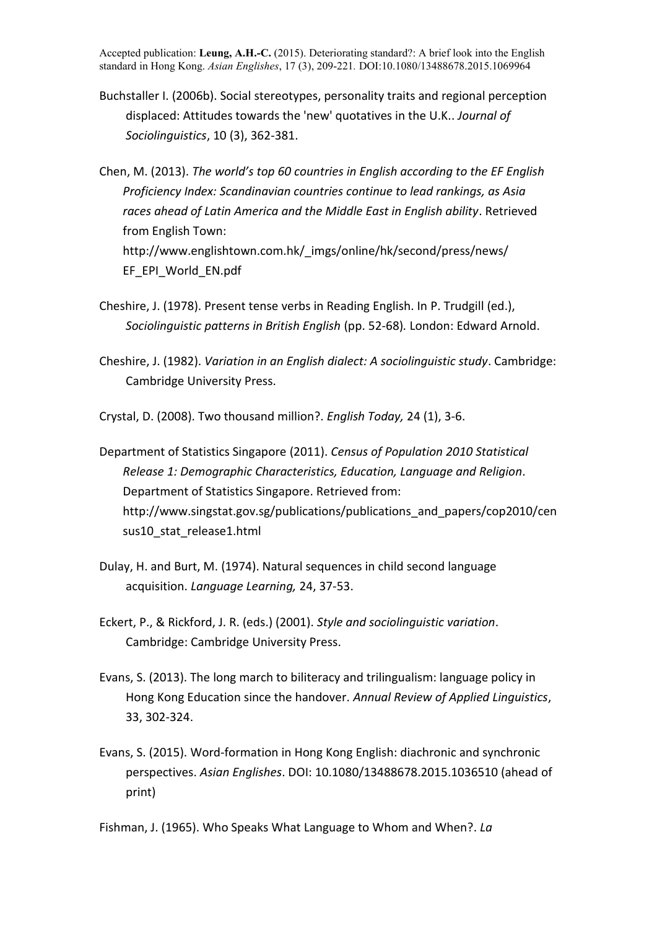- Buchstaller I. (2006b). [Social stereotypes, personality traits and regional perception](http://www.ncl.ac.uk/linguistics/research/publication/72723)   [displaced: Attitudes towards the 'new' quotatives in the U.K..](http://www.ncl.ac.uk/linguistics/research/publication/72723) *Journal of Sociolinguistics*, 10 (3), 362-381.
- Chen, M. (2013). *The world's top 60 countries in English according to the EF English Proficiency Index: Scandinavian countries continue to lead rankings, as Asia races ahead of Latin America and the Middle East in English ability*. Retrieved from English Town: http://www.englishtown.com.hk/\_imgs/online/hk/second/press/news/ EF\_EPI\_World\_EN.pdf
- Cheshire, J. (1978). Present tense verbs in Reading English. In P. Trudgill (ed.), *Sociolinguistic patterns in British English* (pp. 52-68)*.* London: Edward Arnold.
- Cheshire, J. (1982). *Variation in an English dialect: A sociolinguistic study*. Cambridge: Cambridge University Press.

Crystal, D. (2008). Two thousand million?. *English Today,* 24 (1), 3-6.

- Department of Statistics Singapore (2011). *Census of Population 2010 Statistical Release 1: Demographic Characteristics, Education, Language and Religion.*  Department of Statistics Singapore. Retrieved from: http://www.singstat.gov.sg/publications/publications\_and\_papers/cop2010/cen sus10\_stat\_release1.html
- Dulay, H. and Burt, M. (1974). Natural sequences in child second language acquisition. *Language Learning,* 24, 37-53.
- Eckert, P., & Rickford, J. R. (eds.) (2001). *Style and sociolinguistic variation*. Cambridge: Cambridge University Press.
- Evans, S. (2013). The long march to biliteracy and trilingualism: language policy in Hong Kong Education since the handover. *Annual Review of Applied Linguistics*, 33, 302-324.
- Evans, S. (2015). Word-formation in Hong Kong English: diachronic and synchronic perspectives. *Asian Englishes*. DOI: 10.1080/13488678.2015.1036510 (ahead of print)

Fishman, J. (1965). Who Speaks What Language to Whom and When?. *La*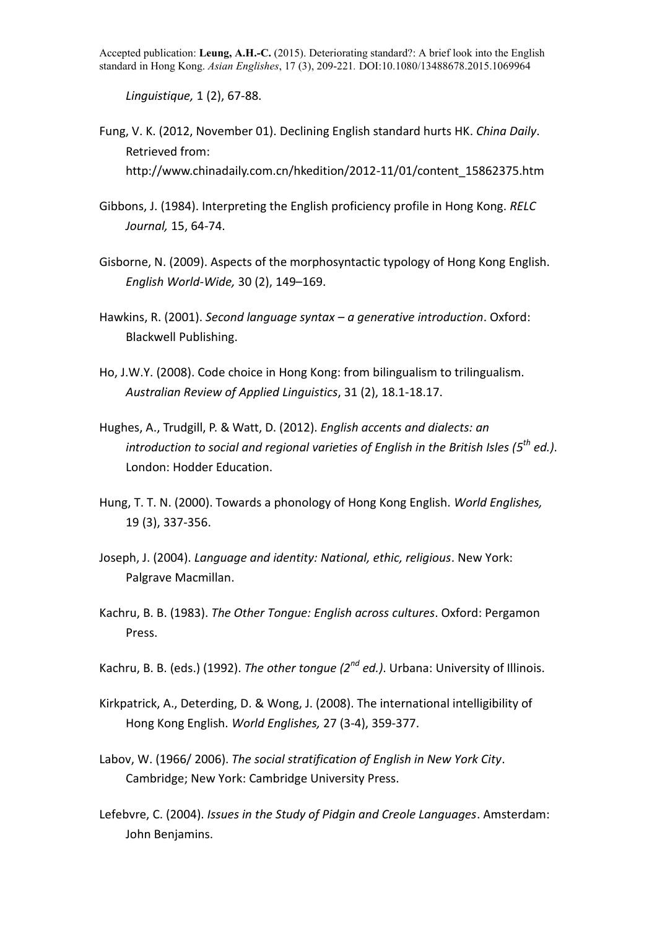*Linguistique,* 1 (2), 67-88.

- Fung, V. K. (2012, November 01). Declining English standard hurts HK. *China Daily*. Retrieved from: http://www.chinadaily.com.cn/hkedition/2012-11/01/content\_15862375.htm
- Gibbons, J. (1984). Interpreting the English proficiency profile in Hong Kong. *RELC Journal,* 15, 64-74.
- Gisborne, N. (2009). Aspects of the morphosyntactic typology of Hong Kong English. *English World-Wide,* 30 (2), 149–169.
- Hawkins, R. (2001). *Second language syntax – a generative introduction*. Oxford: Blackwell Publishing.
- Ho, J.W.Y. (2008). Code choice in Hong Kong: from bilingualism to trilingualism. *Australian Review of Applied Linguistics*, 31 (2), 18.1-18.17.
- Hughes, A., Trudgill, P. & Watt, D. (2012). *English accents and dialects: an introduction to social and regional varieties of English in the British Isles (5th ed.)*. London: Hodder Education.
- Hung, T. T. N. (2000). Towards a phonology of Hong Kong English. *World Englishes,* 19 (3), 337-356.
- Joseph, J. (2004). *Language and identity: National, ethic, religious*. New York: Palgrave Macmillan.
- Kachru, B. B. (1983). *The Other Tongue: English across cultures*. Oxford: Pergamon Press.
- Kachru, B. B. (eds.) (1992). *The other tongue (2nd ed.)*. Urbana: University of Illinois.
- Kirkpatrick, A., Deterding, D. & Wong, J. (2008). The international intelligibility of Hong Kong English. *World Englishes,* 27 (3-4), 359-377.
- Labov, W. (1966/ 2006). *The social stratification of English in New York City*. Cambridge; New York: Cambridge University Press.
- Lefebvre, C. (2004). *Issues in the Study of Pidgin and Creole Languages*. Amsterdam: John Benjamins.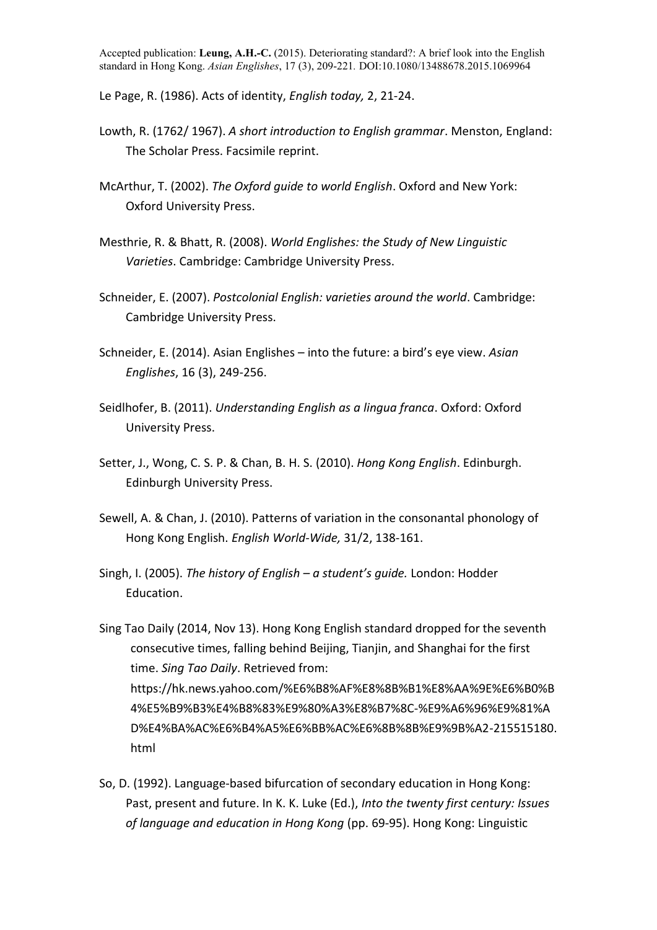Le Page, R. (1986). Acts of identity, *English today,* 2, 21-24.

- Lowth, R. (1762/ 1967). *A short introduction to English grammar*. Menston, England: The Scholar Press. Facsimile reprint.
- McArthur, T. (2002). *The Oxford guide to world English*. Oxford and New York: Oxford University Press.
- Mesthrie, R. & Bhatt, R. (2008). *World Englishes: the Study of New Linguistic Varieties*. Cambridge: Cambridge University Press.
- Schneider, E. (2007). *Postcolonial English: varieties around the world*. Cambridge: Cambridge University Press.
- Schneider, E. (2014). Asian Englishes into the future: a bird's eye view. Asian  *Englishes*, 16 (3), 249-256.
- Seidlhofer, B. (2011). *Understanding English as a lingua franca*. Oxford: Oxford University Press.
- Setter, J., Wong, C. S. P. & Chan, B. H. S. (2010). *Hong Kong English*. Edinburgh. Edinburgh University Press.
- Sewell, A. & Chan, J. (2010). Patterns of variation in the consonantal phonology of Hong Kong English. *English World-Wide,* 31/2, 138-161.
- Singh, I. (2005). *The history of English a student's quide*. London: Hodder **Education**

Sing Tao Daily (2014, Nov 13). Hong Kong English standard dropped for the seventh consecutive times, falling behind Beijing, Tianjin, and Shanghai for the first time. *Sing Tao Daily*. Retrieved from: https://hk.news.yahoo.com/%E6%B8%AF%E8%8B%B1%E8%AA%9E%E6%B0%B 4%E5%B9%B3%E4%B8%83%E9%80%A3%E8%B7%8C-%E9%A6%96%E9%81%A D%E4%BA%AC%E6%B4%A5%E6%BB%AC%E6%8B%8B%E9%9B%A2-215515180. html

So, D. (1992). Language-based bifurcation of secondary education in Hong Kong: Past, present and future. In K. K. Luke (Ed.), *Into the twenty first century: Issues of language and education in Hong Kong* (pp. 69-95). Hong Kong: Linguistic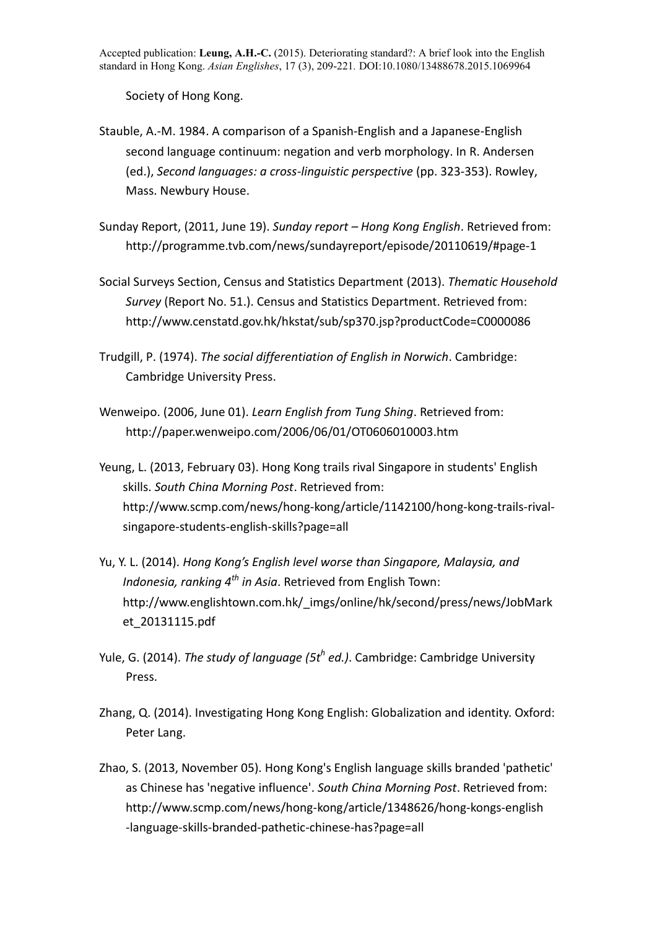Society of Hong Kong.

- Stauble, A.-M. 1984. A comparison of a Spanish-English and a Japanese-English second language continuum: negation and verb morphology. In R. Andersen (ed.), *Second languages: a cross-linguistic perspective* (pp. 323-353). Rowley, Mass. Newbury House.
- Sunday Report, (2011, June 19). *Sunday report – Hong Kong English*. Retrieved from: http://programme.tvb.com/news/sundayreport/episode/20110619/#page-1
- Social Surveys Section, Census and Statistics Department (2013). *Thematic Household Survey* (Report No. 51.). Census and Statistics Department. Retrieved from: http://www.censtatd.gov.hk/hkstat/sub/sp370.jsp?productCode=C0000086
- Trudgill, P. (1974). *The social differentiation of English in Norwich*. Cambridge: Cambridge University Press.
- Wenweipo. (2006, June 01). *Learn English from Tung Shing*. Retrieved from: http://paper.wenweipo.com/2006/06/01/OT0606010003.htm
- Yeung, L. (2013, February 03). Hong Kong trails rival Singapore in students' English skills. *South China Morning Post*. Retrieved from: http://www.scmp.com/news/hong-kong/article/1142100/hong-kong-trails-rivalsingapore-students-english-skills?page=all
- Yu, Y. L. (2014). *Hong Kong's English level worse than Singapore, Malaysia, and Indonesia, ranking 4th in Asia*. Retrieved from English Town: http://www.englishtown.com.hk/\_imgs/online/hk/second/press/news/JobMark et\_20131115.pdf
- Yule, G. (2014). *The study of language (5t<sup>h</sup> ed.)*. Cambridge: Cambridge University Press.
- Zhang, Q. (2014). Investigating Hong Kong English: Globalization and identity. Oxford: Peter Lang.
- Zhao, S. (2013, November 05). Hong Kong's English language skills branded 'pathetic' as Chinese has 'negative influence'. *South China Morning Post*. Retrieved from: http://www.scmp.com/news/hong-kong/article/1348626/hong-kongs-english -language-skills-branded-pathetic-chinese-has?page=all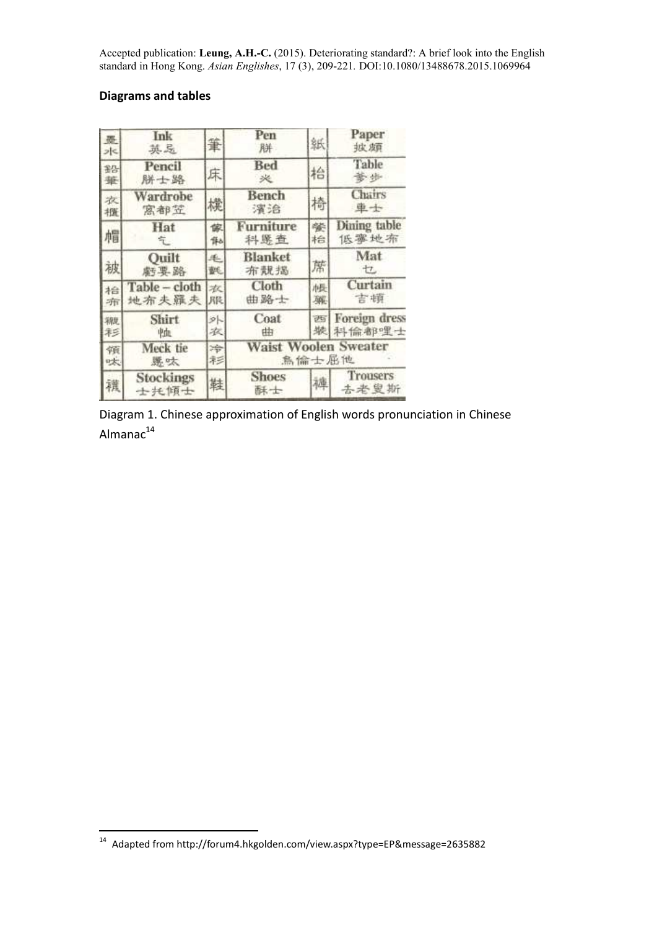#### **Diagrams and tables**

| 是<br>$\Rightarrow <$ | Ink<br>英忌                | 筆       | Pen<br>胼              | 紙                                    | Paper<br>坡旗              |  |
|----------------------|--------------------------|---------|-----------------------|--------------------------------------|--------------------------|--|
| 器<br>筆               | Pencil<br>胼士路            | 床       | <b>Bed</b><br>兴       | 枱                                    | Table<br>蕾步              |  |
| 衣<br>擓               | Wardrobe<br>窩都笠          | 樣       | Bench<br>濱治           | 椅                                    | Chairs<br>車士             |  |
| 帽                    | Hat<br>气.                | 家<br>能  | Furniture<br>科選查      | 餐<br>桔                               | Dining table<br>低寧地布     |  |
| 被                    | Ouilt<br>虧要路             | 毛<br>氈  | <b>Blanket</b><br>布親揚 | 蓆                                    | Mat<br>乜                 |  |
| 抬<br>开               | Table - cloth<br>地布夫羅夫   | 衣<br>服  | Cloth<br>曲路士          | 帳<br>雍                               | Curtain<br>吉頓            |  |
| 翔度<br>彩              | Shirt<br>啦               | 外<br>衣  | Coat<br>曲             | 西                                    | Foreign dress<br>装 科倫都哩士 |  |
| 領<br>呔               | Meck tie<br>既味           | 冷<br>未三 |                       | <b>Waist Woolen Sweater</b><br>鳥倫士屈他 |                          |  |
| 穰                    | <b>Stockings</b><br>士托傾士 | 鞋       | <b>Shoes</b><br>酥士    | 褲                                    | <b>Trousers</b><br>去老叟斯  |  |

Diagram 1. Chinese approximation of English words pronunciation in Chinese  $Almanac<sup>14</sup>$ 

<sup>&</sup>lt;sup>14</sup> Adapted from http://forum4.hkgolden.com/view.aspx?type=EP&message=2635882